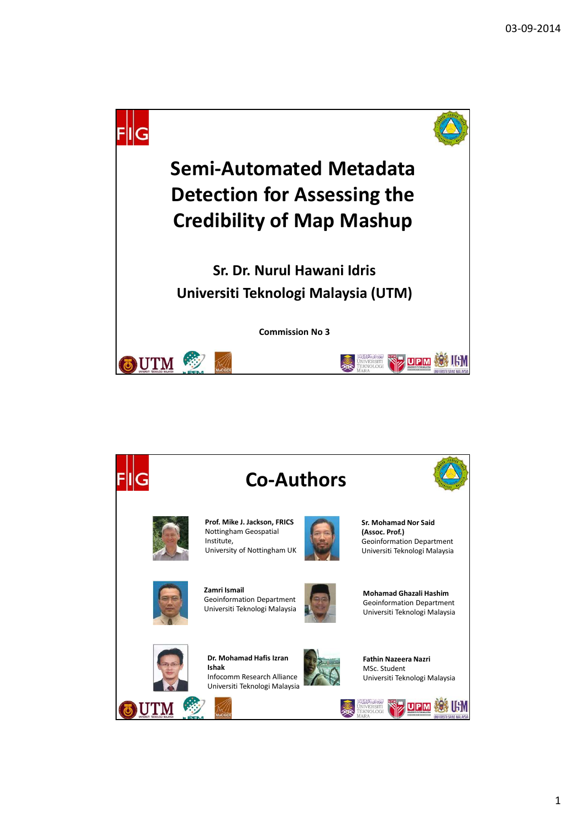



1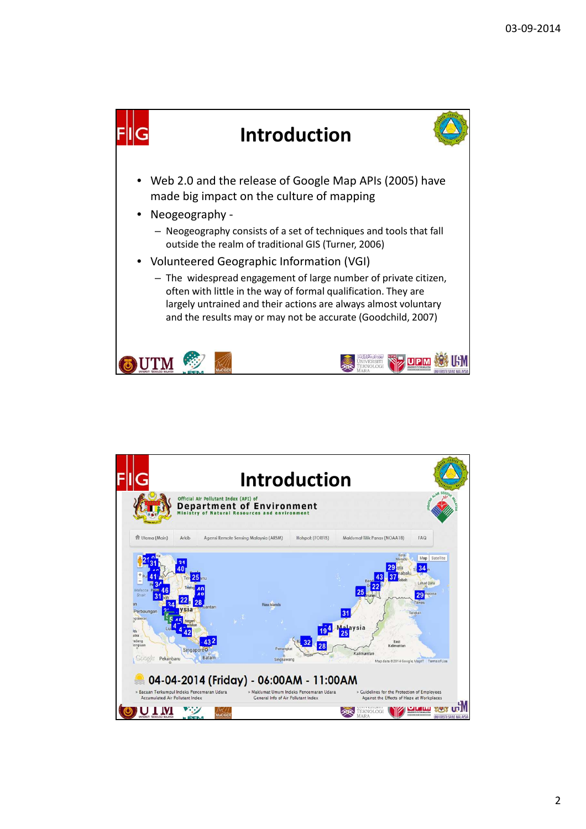

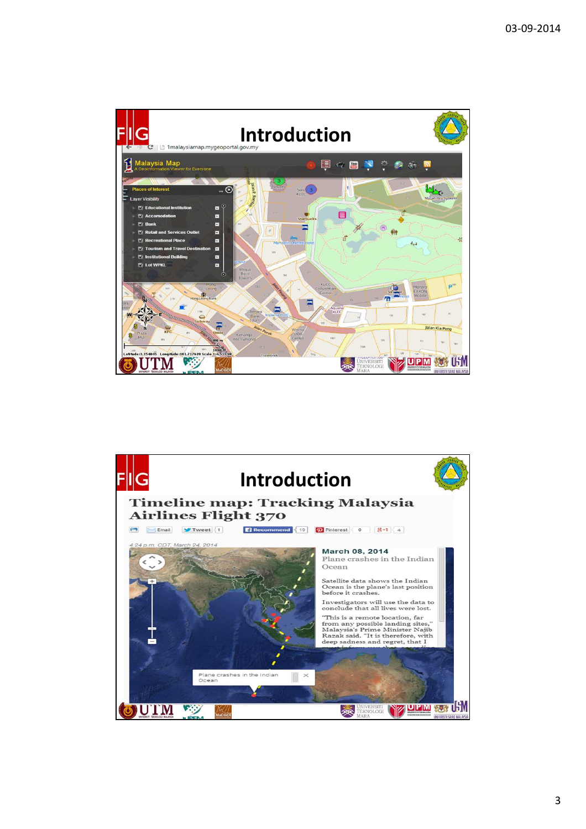

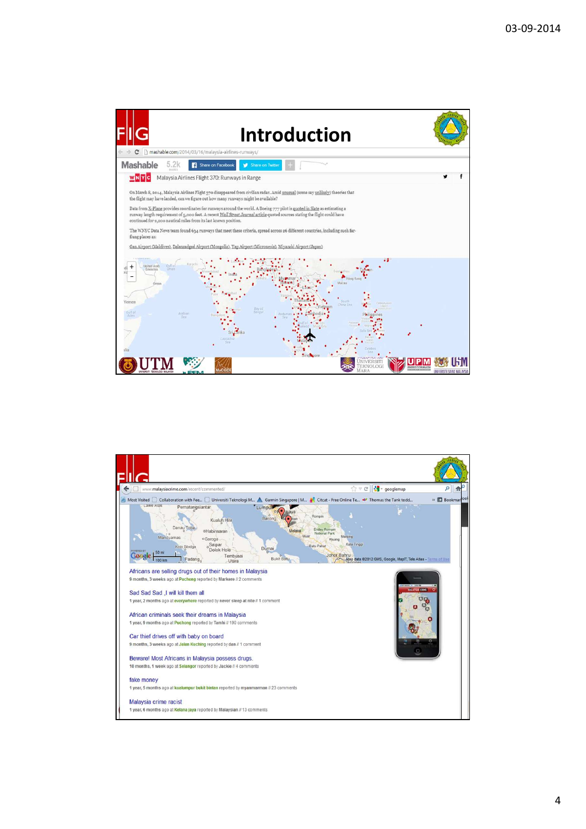

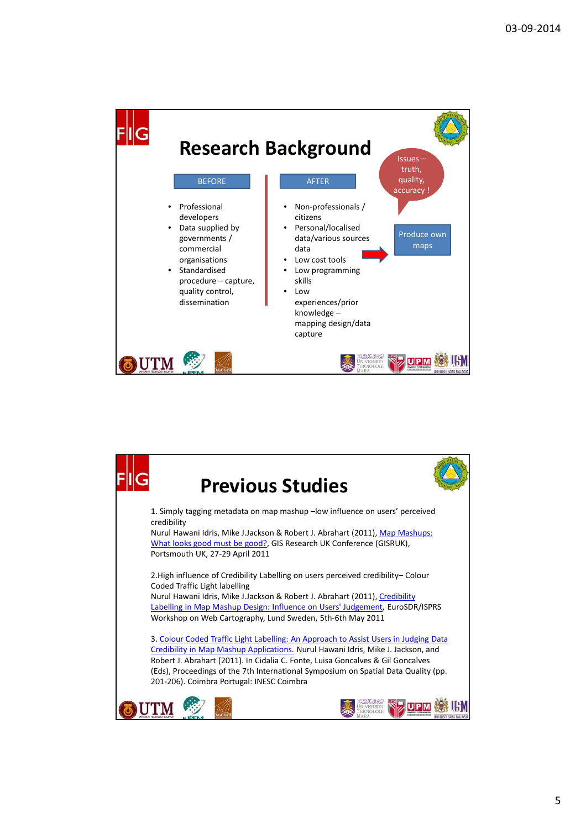

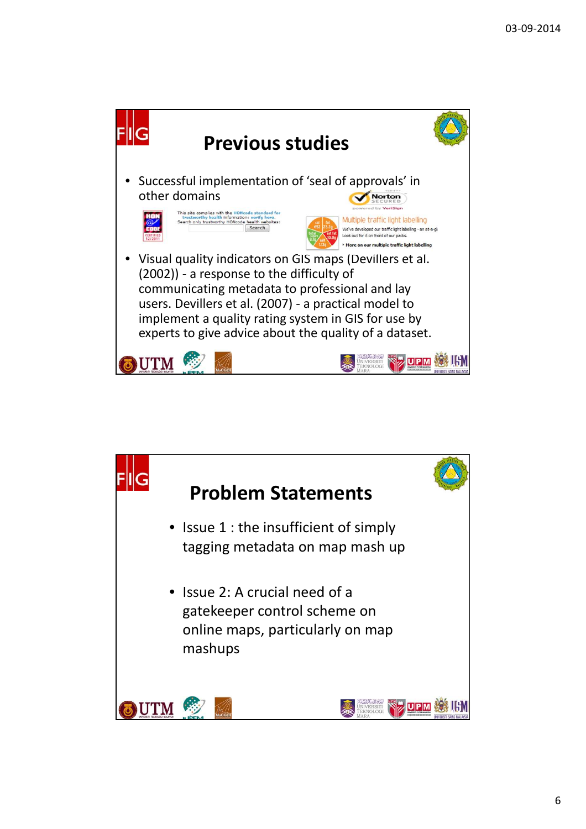

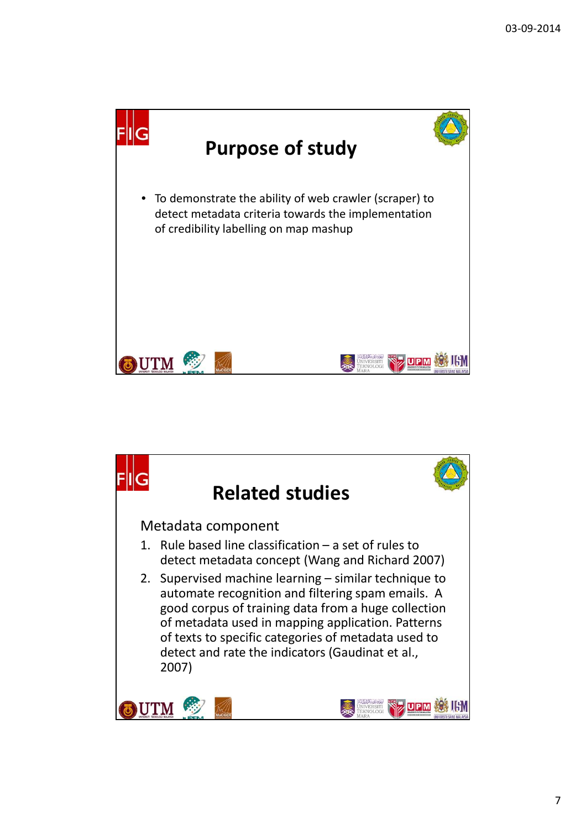

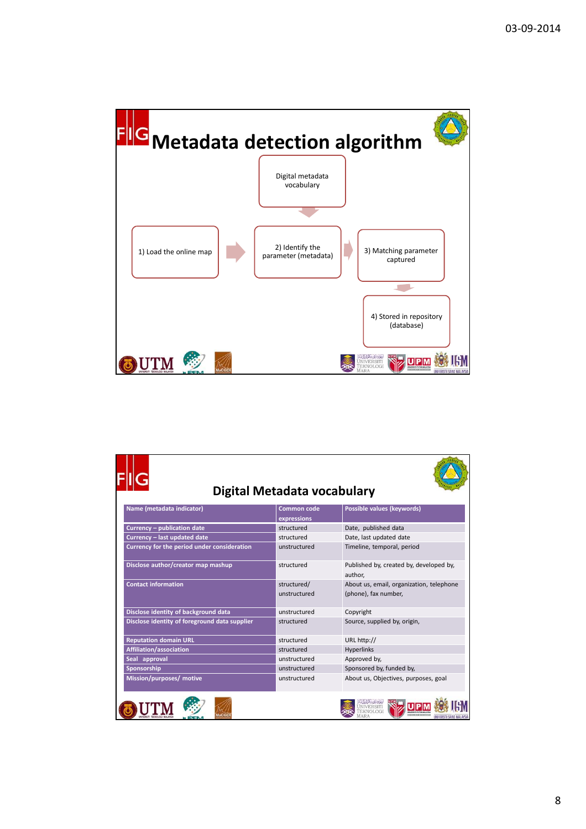

| Digital Metadata vocabulary                   |                    |                                                    |  |  |  |
|-----------------------------------------------|--------------------|----------------------------------------------------|--|--|--|
| Name (metadata indicator)                     | <b>Common code</b> | Possible values (keywords)                         |  |  |  |
|                                               | expressions        |                                                    |  |  |  |
| Currency - publication date                   | structured         | Date, published data                               |  |  |  |
| Currency - last updated date                  | structured         | Date, last updated date                            |  |  |  |
| Currency for the period under consideration   | unstructured       | Timeline, temporal, period                         |  |  |  |
| Disclose author/creator map mashup            | structured         | Published by, created by, developed by,<br>author. |  |  |  |
| <b>Contact information</b>                    | structured/        | About us, email, organization, telephone           |  |  |  |
|                                               | unstructured       | (phone), fax number,                               |  |  |  |
| Disclose identity of background data          | unstructured       | Copyright                                          |  |  |  |
| Disclose identity of foreground data supplier | structured         | Source, supplied by, origin,                       |  |  |  |
| <b>Reputation domain URL</b>                  | structured         | URL http://                                        |  |  |  |
| Affiliation/association                       | structured         | <b>Hyperlinks</b>                                  |  |  |  |
| Seal approval                                 | unstructured       | Approved by,                                       |  |  |  |
| Sponsorship                                   | unstructured       | Sponsored by, funded by,                           |  |  |  |
| Mission/purposes/ motive                      | unstructured       | About us, Objectives, purposes, goal               |  |  |  |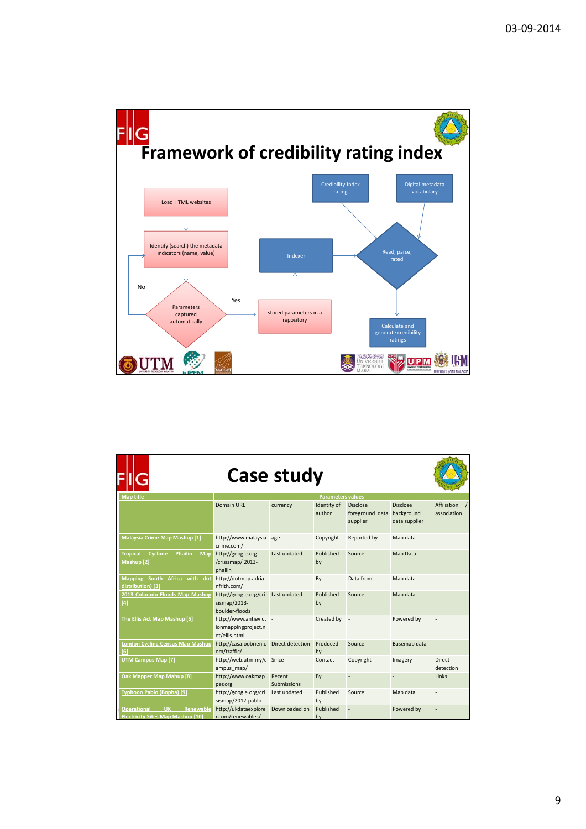

|                                                                                                 | <b>Case study</b>                                              |                       |                       |                                                           |                                  |                            |
|-------------------------------------------------------------------------------------------------|----------------------------------------------------------------|-----------------------|-----------------------|-----------------------------------------------------------|----------------------------------|----------------------------|
| <b>Map title</b>                                                                                | <b>Parameters values</b>                                       |                       |                       |                                                           |                                  |                            |
|                                                                                                 | <b>Domain URL</b>                                              | currency              | Identity of<br>author | <b>Disclose</b><br>foreground data background<br>supplier | <b>Disclose</b><br>data supplier | Affiliation<br>association |
| Malaysia Crime Map Mashup [1]                                                                   | http://www.malaysia<br>crime.com/                              | age                   | Copyright             | Reported by                                               | Map data                         |                            |
| Cyclone<br><b>Tropical</b><br><b>Phailin</b><br>Map<br>Mashup <sup>[2]</sup>                    | http://google.org<br>/crisismap/2013-<br>phailin               | Last updated          | Published<br>by       | Source                                                    | Map Data                         |                            |
| Mapping South Africa with<br>dot<br>distribution) [3]                                           | http://dotmap.adria<br>nfrith.com/                             |                       | By                    | Data from                                                 | Map data                         |                            |
| 2013 Colorado Floods Map Mashup<br>[4]                                                          | http://google.org/cri<br>sismap/2013-<br>boulder-floods        | Last updated          | Published<br>by       | Source                                                    | Map data                         |                            |
| The Ellis Act Map Mashup [5]                                                                    | http://www.antievict -<br>ionmappingproject.n<br>et/ellis.html |                       | Created by -          |                                                           | Powered by                       |                            |
| <b>London Cycling Census Map Mashup</b><br>[6]                                                  | http://casa.oobrien.c<br>om/traffic/                           | Direct detection      | Produced<br>by        | Source                                                    | Basemap data                     |                            |
| <b>UTM Campus Map [7]</b>                                                                       | http://web.utm.my/c Since<br>ampus map/                        |                       | Contact               | Copyright                                                 | Imagery                          | <b>Direct</b><br>detection |
| Oak Mapper Map Mahup [8]                                                                        | http://www.oakmap<br>per.org                                   | Recent<br>Submissions | By                    |                                                           |                                  | Links                      |
| Typhoon Pablo (Bopha) [9]                                                                       | http://google.org/cri<br>sismap/2012-pablo                     | Last updated          | Published<br>by       | Source                                                    | Map data                         |                            |
| <b>UK</b><br><b>Renewable</b><br><b>Operational</b><br><b>Electricity Sites Map Mashup [10]</b> | http://ukdataexplore<br>r.com/renewables/                      | Downloaded on         | Published<br>by       |                                                           | Powered by                       |                            |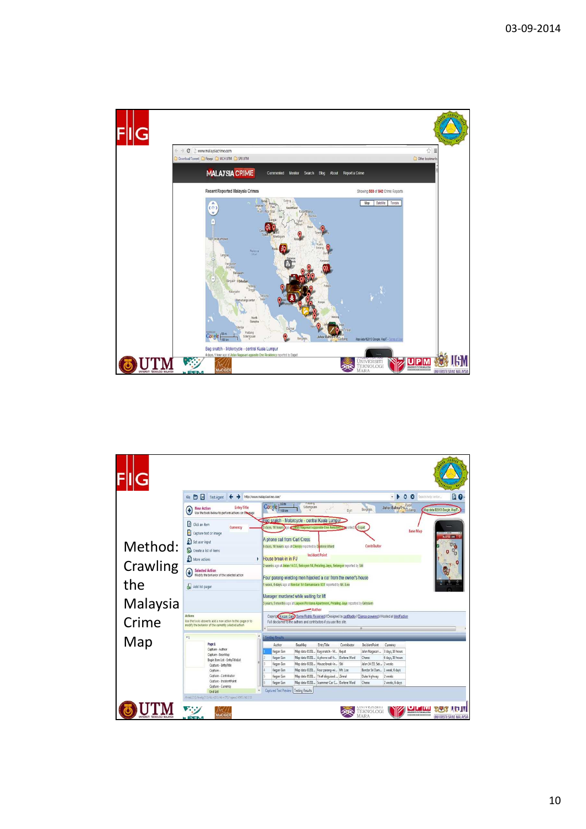

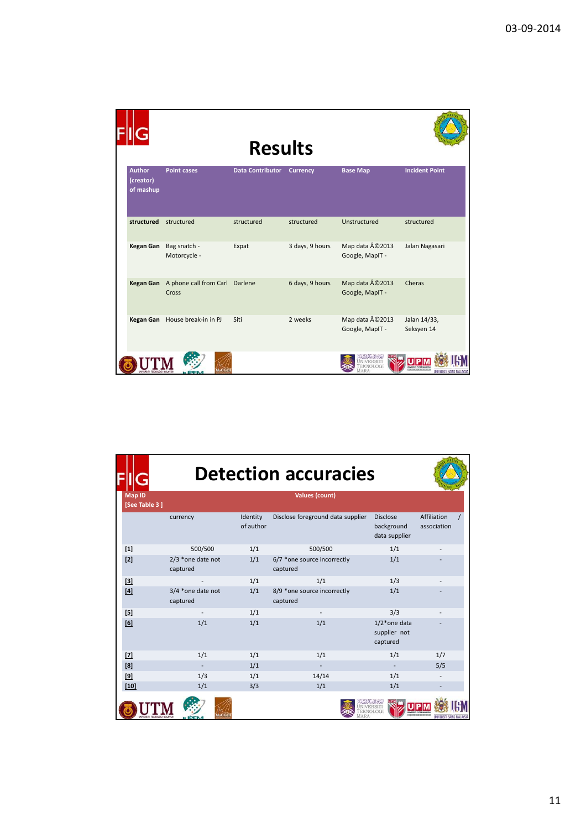|                                         |                                         |                  | <b>Results</b>  |                                   |                            |  |
|-----------------------------------------|-----------------------------------------|------------------|-----------------|-----------------------------------|----------------------------|--|
| <b>Author</b><br>(creator)<br>of mashup | <b>Point cases</b>                      | Data Contributor | <b>Currency</b> | <b>Base Map</b>                   | <b>Incident Point</b>      |  |
| structured                              | structured                              | structured       | structured      | Unstructured                      | structured                 |  |
| Kegan Gan                               | Bag snatch -<br>Motorcycle -            | Expat            | 3 days, 9 hours | Map data ©2013<br>Google, MapIT - | Jalan Nagasari             |  |
| <b>Kegan Gan</b>                        | A phone call from Carl Darlene<br>Cross |                  | 6 days, 9 hours | Map data ©2013<br>Google, MapIT - | Cheras                     |  |
|                                         | Kegan Gan House break-in in PJ          | Siti             | 2 weeks         | Map data ©2013<br>Google, MapIT - | Jalan 14/33,<br>Seksyen 14 |  |
|                                         | MaCGD                                   |                  |                 |                                   | UNIVERSITI SAINS MALAYSIA  |  |

|                                | <b>Detection accuracies</b>   |                       |                                         |                                                |                            |  |  |
|--------------------------------|-------------------------------|-----------------------|-----------------------------------------|------------------------------------------------|----------------------------|--|--|
| <b>Map ID</b><br>[See Table 3] |                               |                       |                                         |                                                |                            |  |  |
|                                | currency                      | Identity<br>of author | Disclose foreground data supplier       | <b>Disclose</b><br>background<br>data supplier | Affiliation<br>association |  |  |
| $[1]$                          | 500/500                       | 1/1                   | 500/500                                 | 1/1                                            |                            |  |  |
| $[2]$                          | 2/3 *one date not<br>captured | 1/1                   | 6/7 *one source incorrectly<br>captured | 1/1                                            |                            |  |  |
| $[3]$                          |                               | 1/1                   | 1/1                                     | 1/3                                            |                            |  |  |
| $[4]$                          | 3/4 *one date not<br>captured | 1/1                   | 8/9 *one source incorrectly<br>captured | 1/1                                            |                            |  |  |
| $[5]$                          |                               | 1/1                   |                                         | 3/3                                            |                            |  |  |
| [6]                            | 1/1                           | 1/1                   | 1/1                                     | $1/2^*$ one data<br>supplier not<br>captured   |                            |  |  |
| $[7]$                          | 1/1                           | 1/1                   | 1/1                                     | 1/1                                            | 1/7                        |  |  |
| [8]                            |                               | 1/1                   |                                         |                                                | 5/5                        |  |  |
| $[9]$                          | 1/3                           | 1/1                   | 14/14                                   | 1/1                                            |                            |  |  |
| $[10]$                         | 1/1                           | 3/3                   | 1/1                                     | 1/1                                            |                            |  |  |
|                                |                               |                       |                                         |                                                |                            |  |  |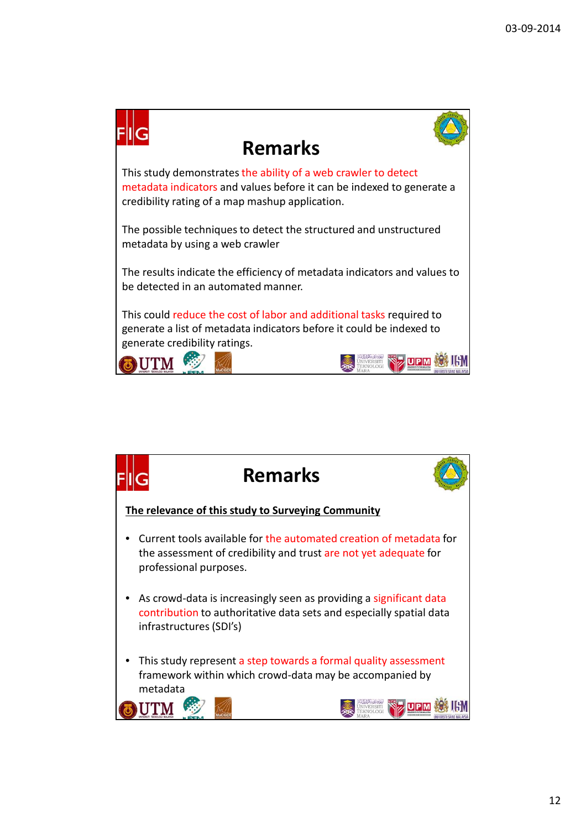

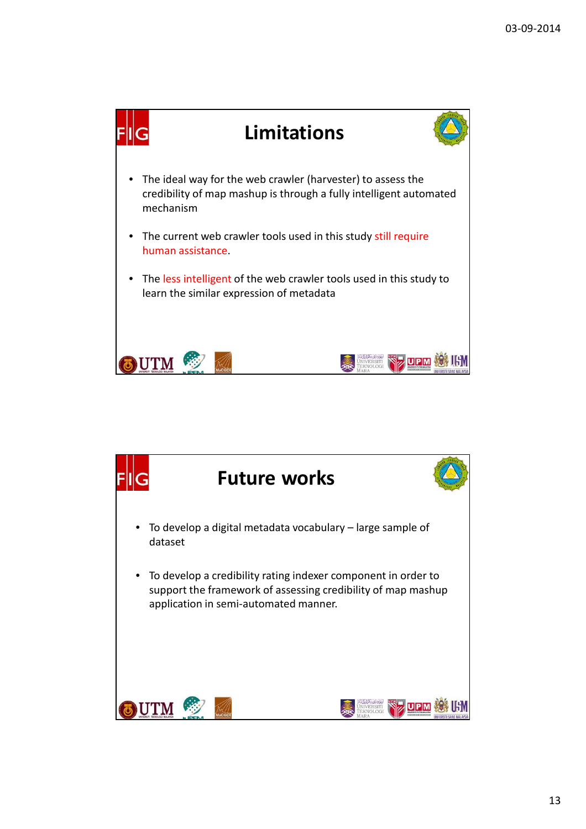